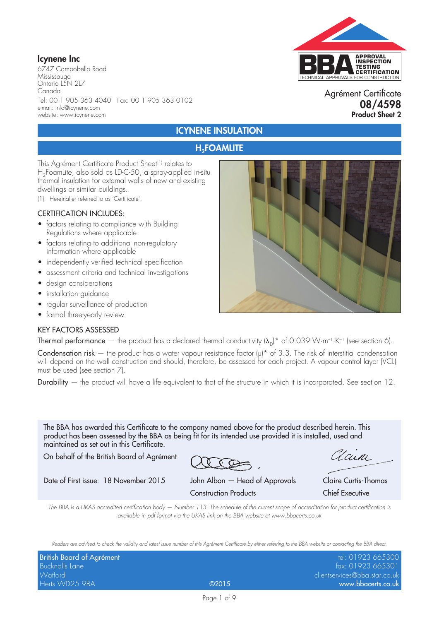### Icynene Inc

6747 Campobello Road Mississauga Ontario L5N 2L7 Canada Tel: 00 1 905 363 4040 Fax: 00 1 905 363 0102 e-mail: info@icynene.com website: www.icynene.com



### Agrément Certificate 08/4598 Product Sheet 2

### ICYNENE INSULATION

### **H<sub>2</sub>FOAMLITE**

This Agrément Certificate Product Sheet<sup>(1)</sup> relates to H<sub>2</sub>FoamLite, also sold as LD-C-50, a spray-applied in-situ thermal insulation for external walls of new and existing dwellings or similar buildings.

(1) Hereinafter referred to as 'Certificate'.

#### CERTIFICATION INCLUDES:

- factors relating to compliance with Building Regulations where applicable
- factors relating to additional non-regulatory information where applicable
- independently verified technical specification
- assessment criteria and technical investigations
- design considerations
- installation guidance
- regular surveillance of production
- formal three-yearly review.

#### KEY FACTORS ASSESSED

Thermal performance — the product has a declared thermal conductivity  $(\lambda_n)^*$  of 0.039 W·m<sup>-1</sup>·K<sup>-1</sup> (see section 6).

Condensation risk – the product has a water vapour resistance factor  $(\mu)^*$  of 3.3. The risk of interstitial condensation will depend on the wall construction and should, therefore, be assessed for each project. A vapour control layer (VCL) must be used (see section 7).

Durability  $-$  the product will have a life equivalent to that of the structure in which it is incorporated. See section 12.

The BBA has awarded this Certificate to the company named above for the product described herein. This product has been assessed by the BBA as being fit for its intended use provided it is installed, used and maintained as set out in this Certificate.

On behalf of the British Board of Agrément

Date of First issue: 18 November 2015 John Albon — Head of Approvals Claire Curtis-Thomas

Clain

Construction Products Chief Executive

*The BBA is a UKAS accredited certification body — Number 113. The schedule of the current scope of accreditation for product certification is available in pdf format via the UKAS link on the BBA website at www.bbacerts.co.uk*

*Readers are advised to check the validity and latest issue number of this Agrément Certificate by either referring to the BBA website or contacting the BBA direct.*

| British Board of Agrément |       | tel: 01923 665300             |
|---------------------------|-------|-------------------------------|
| Bucknalls Lane            |       | fax: 01923 665301             |
| Watford                   |       | clientservices@bba.star.co.uk |
| Herts WD25 9BA            | @2015 | www.bbacerts.co.uk            |

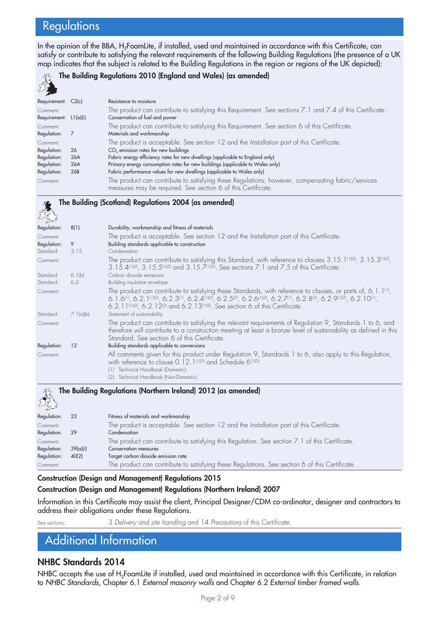# **Regulations**

In the opinion of the BBA, H<sub>2</sub>FoamLite, if installed, used and maintained in accordance with this Certificate, can satisfy or contribute to satisfying the relevant requirements of the following Building Regulations (the presence of a UK map indicates that the subject is related to the Building Regulations in the region or regions of the UK depicted):



#### The Building Regulations 2010 (England and Wales) (as amended)

| Requirement: C2(c)      |     | Resistance to moisture                                                                                   |
|-------------------------|-----|----------------------------------------------------------------------------------------------------------|
| Comment:                |     | The product can contribute to satisfying this Requirement. See sections 7.1 and 7.4 of this Certificate. |
| Requirement: $L1(a)(i)$ |     | Conservation of fuel and power                                                                           |
| Comment:                |     | The product can contribute to satisfying this Requirement. See section 6 of this Certificate.            |
| Regulation:             |     | Materials and workmanship                                                                                |
| Comment:                |     | The product is acceptable. See section 12 and the Installation part of this Certificate.                 |
| Regulation:             | 26  | CO <sub>2</sub> emission rates for new buildings                                                         |
| Regulation:             | 26A | Fabric energy efficiency rates for new dwellings (applicable to England only)                            |
| Regulation:             | 26A | Primary energy consumption rates for new buildings (applicable to Wales only)                            |
| Regulation:             | 26B | Fabric performance values for new dwellings (applicable to Wales only)                                   |
| Comment:                |     | The product can contribute to satisfying these Regulations; however, compensating fabric/services        |
|                         |     | measures may be required. See section 6 of this Certificate.                                             |

#### The Building (Scotland) Regulations 2004 (as amended) **SE**

| Regulation: | 8(1)      | Durability, workmanship and fitness of materials                                                                                                                                                                                                                                                                             |
|-------------|-----------|------------------------------------------------------------------------------------------------------------------------------------------------------------------------------------------------------------------------------------------------------------------------------------------------------------------------------|
| Comment:    |           | The product is acceptable. See section 12 and the Installation part of this Certificate.                                                                                                                                                                                                                                     |
| Regulation: | 9         | Building standards applicable to construction                                                                                                                                                                                                                                                                                |
| Standard:   | 3.15      | Condensation                                                                                                                                                                                                                                                                                                                 |
| Comment:    |           | The product can contribute to satisfying this Standard, with reference to clauses $3.15.1^{01(2)}$ , $3.15.3^{01(2)}$ ,<br>3.15.4(1)(2), 3.15.5(1)(2) and 3.15.7(1)(2). See sections 7.1 and 7.5 of this Certificate.                                                                                                        |
| Standard:   | 6.1(b)    | Carbon dioxide emissions                                                                                                                                                                                                                                                                                                     |
| Standard:   | 6.2       | Building insulation envelope                                                                                                                                                                                                                                                                                                 |
| Comment:    |           | The product can contribute to satisfying these Standards, with reference to clauses, or parts of, 6.1.1 <sup>(1)</sup> ,<br>6.1.6(1), 6.2.1(1)(2), 6.2.3(1), 6.2.4(1)(2), 6.2.5(2), 6.2.6(1)(2), 6.2.7(1), 6.2.8(2), 6.2.9(1)(2), 6.2.10(1),<br>6.2.11(1)(2), 6.2.12(2) and 6.2.13(1)(2). See section 6 of this Certificate. |
| Standard:   | 7.1(a)(b) | Statement of sustainability                                                                                                                                                                                                                                                                                                  |
| Comment:    |           | The product can contribute to satisfying the relevant requirements of Regulation 9, Standards 1 to 6, and<br>therefore will contribute to a construction meeting at least a bronze level of sustainability as defined in this<br>Standard. See section 6 of this Certificate.                                                |
| Regulation: | 12        | Building standards applicable to conversions                                                                                                                                                                                                                                                                                 |
| Comment:    |           | All comments given for this product under Regulation 9, Standards 1 to 6, also apply to this Regulation,<br>with reference to clause 0.12.1 <sup>(1)(2)</sup> and Schedule 6 <sup>(1)(2)</sup> .<br>Technical Handbook (Domestic).<br>(1)<br>Technical Handbook (Non-Domestic).<br>(2)                                       |
| 37          |           | The Building Regulations (Northern Ireland) 2012 (as amended)                                                                                                                                                                                                                                                                |



| تحسير محمر  |          |                                                                                                |
|-------------|----------|------------------------------------------------------------------------------------------------|
| Regulation: | 23       | Fitness of materials and workmanship                                                           |
| Comment:    |          | The product is acceptable. See section 12 and the Installation part of this Certificate.       |
| Regulation: | -29      | Condensation                                                                                   |
| Comment:    |          | The product can contribute to satisfying this Regulation. See section 7.1 of this Certificate. |
| Regulation: | 39(a)(i) | <b>Conservation measures</b>                                                                   |
| Regulation: | 40(2)    | Target carbon dioxide emission rate                                                            |
| Comment:    |          | The product can contribute to satisfying these Regulations. See section 6 of this Certificate. |
|             |          |                                                                                                |

#### Construction (Design and Management) Regulations 2015

#### Construction (Design and Management) Regulations (Northern Ireland) 2007

Information in this Certificate may assist the client, Principal Designer/CDM co-ordinator, designer and contractors to address their obligations under these Regulations.

See sections: 3 *Delivery and site handling* and 14 *Precautions* of this Certificate.

## Additional Information

### NHBC Standards 2014

NHBC accepts the use of H<sub>2</sub>FoamLite if installed, used and maintained in accordance with this Certificate, in relation to *NHBC Standards*, Chapter 6.1 *External masonry walls* and Chapter 6.2 *External timber framed walls*.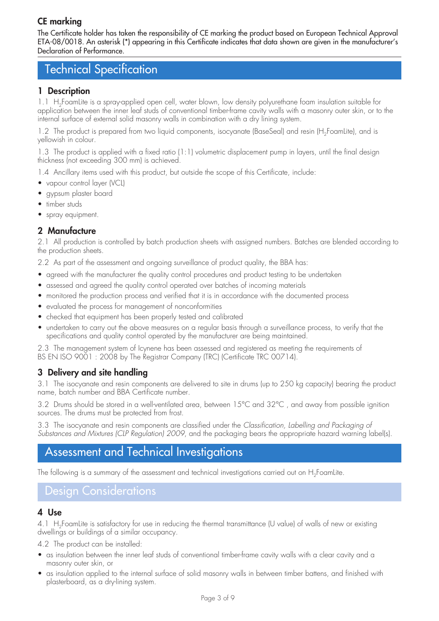## CE marking

The Certificate holder has taken the responsibility of CE marking the product based on European Technical Approval ETA-08/0018. An asterisk (\*) appearing in this Certificate indicates that data shown are given in the manufacturer's Declaration of Performance.

## Technical Specification

### 1 Description

1.1 H<sub>2</sub>FoamLite is a spray-applied open cell, water blown, low density polyurethane foam insulation suitable for application between the inner leaf studs of conventional timber-frame cavity walls with a masonry outer skin, or to the internal surface of external solid masonry walls in combination with a dry lining system.

1.2 The product is prepared from two liquid components, isocyanate (BaseSeal) and resin (H<sub>2</sub>FoamLite), and is yellowish in colour.

1.3 The product is applied with a fixed ratio (1:1) volumetric displacement pump in layers, until the final design thickness (not exceeding 300 mm) is achieved.

1.4 Ancillary items used with this product, but outside the scope of this Certificate, include:

- vapour control layer (VCL)
- gypsum plaster board
- timber studs
- spray equipment.

### 2 Manufacture

2.1 All production is controlled by batch production sheets with assigned numbers. Batches are blended according to the production sheets.

2.2 As part of the assessment and ongoing surveillance of product quality, the BBA has:

- agreed with the manufacturer the quality control procedures and product testing to be undertaken
- assessed and agreed the quality control operated over batches of incoming materials
- monitored the production process and verified that it is in accordance with the documented process
- evaluated the process for management of nonconformities
- checked that equipment has been properly tested and calibrated
- undertaken to carry out the above measures on a regular basis through a surveillance process, to verify that the specifications and quality control operated by the manufacturer are being maintained.

2.3 The management system of Icynene has been assessed and registered as meeting the requirements of BS EN ISO 9001 : 2008 by The Registrar Company (TRC) (Certificate TRC 00714).

### 3 Delivery and site handling

3.1 The isocyanate and resin components are delivered to site in drums (up to 250 kg capacity) bearing the product name, batch number and BBA Certificate number.

3.2 Drums should be stored in a well-ventilated area, between 15°C and 32°C , and away from possible ignition sources. The drums must be protected from frost.

3.3 The isocyanate and resin components are classified under the *Classification, Labelling and Packaging of Substances and Mixtures (CLP Regulation) 2009*, and the packaging bears the appropriate hazard warning label(s).

## Assessment and Technical Investigations

The following is a summary of the assessment and technical investigations carried out on H<sub>2</sub>FoamLite.

### Design Considerations

### 4 Use

4.1 H<sub>2</sub>FoamLite is satisfactory for use in reducing the thermal transmittance (U value) of walls of new or existing dwellings or buildings of a similar occupancy.

4.2 The product can be installed:

- as insulation between the inner leaf studs of conventional timber-frame cavity walls with a clear cavity and a masonry outer skin, or
- • as insulation applied to the internal surface of solid masonry walls in between timber battens, and finished with plasterboard, as a dry-lining system.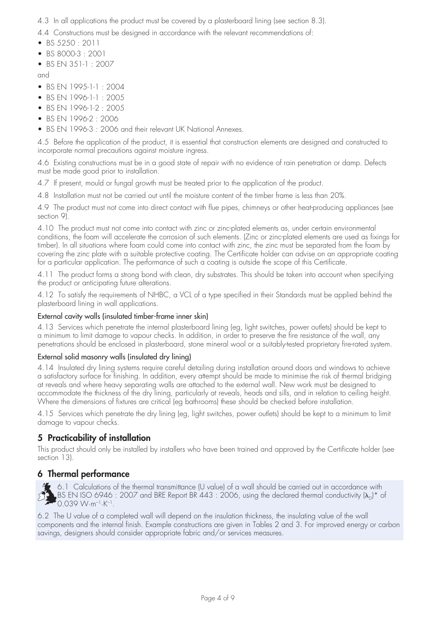4.3 In all applications the product must be covered by a plasterboard lining (see section 8.3).

4.4 Constructions must be designed in accordance with the relevant recommendations of:

- • BS 5250 : 2011
- • BS 8000-3 : 2001
- BS EN 351-1 : 2007

and

- BS EN 1995-1-1 : 2004
- • BS EN 1996-1-1 : 2005
- BS FN 1996-1-2  $\cdot$  2005
- BS EN 1996-2 · 2006
- BS EN 1996-3: 2006 and their relevant UK National Annexes.

4.5 Before the application of the product, it is essential that construction elements are designed and constructed to incorporate normal precautions against moisture ingress.

4.6 Existing constructions must be in a good state of repair with no evidence of rain penetration or damp. Defects must be made good prior to installation.

4.7 If present, mould or fungal growth must be treated prior to the application of the product.

4.8 Installation must not be carried out until the moisture content of the timber frame is less than 20%.

4.9 The product must not come into direct contact with flue pipes, chimneys or other heat-producing appliances (see section 9).

4.10 The product must not come into contact with zinc or zinc-plated elements as, under certain environmental conditions, the foam will accelerate the corrosion of such elements. (Zinc or zinc-plated elements are used as fixings for timber). In all situations where foam could come into contact with zinc, the zinc must be separated from the foam by covering the zinc plate with a suitable protective coating. The Certificate holder can advise on an appropriate coating for a particular application. The performance of such a coating is outside the scope of this Certificate.

4.11 The product forms a strong bond with clean, dry substrates. This should be taken into account when specifying the product or anticipating future alterations.

4.12 To satisfy the requirements of NHBC, a VCL of a type specified in their Standards must be applied behind the plasterboard lining in wall applications.

### External cavity walls (insulated timber-frame inner skin)

4.13 Services which penetrate the internal plasterboard lining (eg, light switches, power outlets) should be kept to a minimum to limit damage to vapour checks. In addition, in order to preserve the fire resistance of the wall, any penetrations should be enclosed in plasterboard, stone mineral wool or a suitably-tested proprietary fire-rated system.

### External solid masonry walls (insulated dry lining)

4.14 Insulated dry lining systems require careful detailing during installation around doors and windows to achieve a satisfactory surface for finishing. In addition, every attempt should be made to minimise the risk of thermal bridging at reveals and where heavy separating walls are attached to the external wall. New work must be designed to accommodate the thickness of the dry lining, particularly at reveals, heads and sills, and in relation to ceiling height. Where the dimensions of fixtures are critical (eg bathrooms) these should be checked before installation.

4.15 Services which penetrate the dry lining (eg, light switches, power outlets) should be kept to a minimum to limit damage to vapour checks.

### 5 Practicability of installation

This product should only be installed by installers who have been trained and approved by the Certificate holder (see section 13).

### 6 Thermal performance

6.1 Calculations of the thermal transmittance (U value) of a wall should be carried out in accordance with  $\Delta$ BS EN ISO 6946 : 2007 and BRE Report BR 443 : 2006, using the declared thermal conductivity ( $\lambda_{\rm D}$ )\* of  $0.039 \text{ W} \cdot \text{m}^{-1} \cdot \text{K}^{-1}$ .

6.2 The U value of a completed wall will depend on the insulation thickness, the insulating value of the wall components and the internal finish. Example constructions are given in Tables 2 and 3. For improved energy or carbon savings, designers should consider appropriate fabric and/or services measures.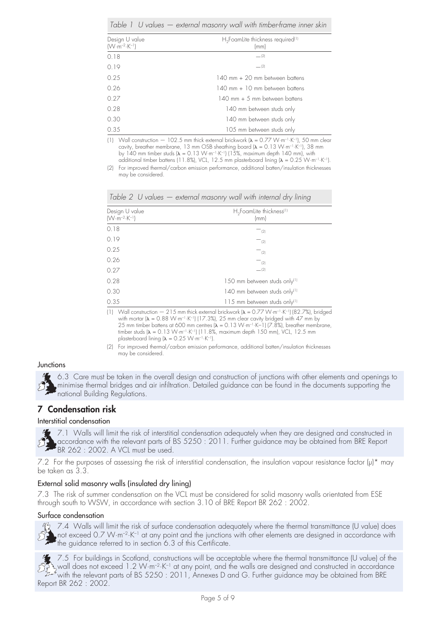|                                                   | Table 1 $\vee$ values $-$ external masonry wall with timber-frame inner skin |
|---------------------------------------------------|------------------------------------------------------------------------------|
| Design U value<br>$(W \cdot m^{-2} \cdot K^{-1})$ | $H_2$ FoamLite thickness required <sup>(1)</sup><br>(mm)                     |
| 0.18                                              | $- (2)$                                                                      |
| 0.19                                              | $- (2)$                                                                      |
| 0.25                                              | 140 mm + 20 mm between battens                                               |
| 0.26                                              | 140 mm + 10 mm between battens                                               |
| 0.27                                              | 140 mm + 5 mm between battens                                                |
| 0.28                                              | 140 mm between studs only                                                    |
| 0.30                                              | 140 mm between studs only                                                    |
| 0.35                                              | 105 mm between studs only                                                    |

(1) Wall construction  $-102.5$  mm thick external brickwork  $(\lambda = 0.77 \text{ W} \cdot \text{m}^{-1} \cdot \text{K}^{-1})$ , 50 mm clear cavity, breather membrane, 13 mm OSB sheathing board  $(\lambda = 0.13 \text{ W} \cdot \text{m}^{-1} \cdot \text{K}^{-1})$ , 38 mm by 140 mm timber studs  $\lambda = 0.13 \text{ W} \cdot \text{m}^{-1} \cdot \text{K}^{-1}$ ) (15%, maximum depth 140 mm), with additional timber battens (11.8%), VCL, 12.5 mm plasterboard lining  $(\lambda = 0.25 \text{ W} \cdot \text{m}^{-1} \cdot \text{K}^{-1})$ .

(2) For improved thermal/carbon emission performance, additional batten/insulation thicknesses may be considered.

|  | Table 2 U values - external masonry wall with internal dry lining |  |  |
|--|-------------------------------------------------------------------|--|--|
|  |                                                                   |  |  |

| Design U value<br>$(W \cdot m^{-2} \cdot K^{-1})$ | $H_2$ FoamLite thickness <sup>(1)</sup><br>(mm)                                                                                        |  |  |
|---------------------------------------------------|----------------------------------------------------------------------------------------------------------------------------------------|--|--|
| 0.18                                              | (2)                                                                                                                                    |  |  |
| 0.19                                              | $^{-}$ (2)                                                                                                                             |  |  |
| 0.25                                              | $^{-}$ (2)                                                                                                                             |  |  |
| 0.26                                              | $^{-}$ (2)                                                                                                                             |  |  |
| 0.27                                              | $-$ (2)                                                                                                                                |  |  |
| 0.28                                              | 150 mm between studs only <sup>(1)</sup>                                                                                               |  |  |
| 0.30                                              | 140 mm between studs only <sup>(1)</sup>                                                                                               |  |  |
| 0.35                                              | 115 mm between studs only <sup>(1)</sup>                                                                                               |  |  |
|                                                   | $(11 \text{ N/s})$ construction $(215 \text{ mm})$ bigh outgraal bright use $(1 - (77) \text{ N/s}^{-1})$ $\leq$ $(11102.7\%)$ bridges |  |  |

(1) Wall construction  $-215$  mm thick external brickwork ( $\lambda = 0.77$  W·m<sup>-1</sup>·K<sup>-1</sup>) (82.7%), bridged with mortar ( $\lambda = 0.88$  W·m<sup>-1</sup>·K<sup>-1</sup>) (17.3%), 25 mm clear cavity bridged with 47 mm by 25 mm timber battens at 600 mm centres  $\vec{A} = 0.13 \text{ W} \cdot \text{m}^{-1} \cdot \text{K}^{-1}$  (7.8%), breather membrane, timber studs ( $\lambda = 0.13$  W·m<sup>-1</sup>·K<sup>-1</sup>) (11.8%, maximum depth 150 mm), VCL, 12.5 mm plasterboard lining  $(\lambda = 0.25 \text{ W} \cdot \text{m}^{-1} \cdot \text{K}^{-1})$ .

#### **Junctions**

6.3 Care must be taken in the overall design and construction of junctions with other elements and openings to minimise thermal bridges and air infiltration. Detailed guidance can be found in the documents supporting the national Building Regulations.

### 7 Condensation risk

#### Interstitial condensation

7.1 Walls will limit the risk of interstitial condensation adequately when they are designed and constructed in accordance with the relevant parts of BS 5250 : 2011. Further guidance may be obtained from BRE Report BR 262 : 2002. A VCL must be used.

7.2 For the purposes of assessing the risk of interstitial condensation, the insulation vapour resistance factor ( $\mu$ )\* may be taken as 3.3.

#### External solid masonry walls (insulated dry lining)

7.3 The risk of summer condensation on the VCL must be considered for solid masonry walls orientated from ESE through south to WSW, in accordance with section 3.10 of BRE Report BR 262 : 2002.

#### Surface condensation

12 7.4 Walls will limit the risk of surface condensation adequately where the thermal transmittance (U value) does not exceed 0.7 W·m<sup>-2</sup>·K<sup>-1</sup> at any point and the junctions with other elements are designed in accordance with the guidance referred to in section 6.3 of this Certificate.

 $\frac{1}{2}$  7.5 For buildings in Scotland, constructions will be acceptable where the thermal transmittance (U value) of the wall does not exceed 1.2 W·m<sup>-2</sup>·K<sup>-1</sup> at any point, and the walls are designed and constructed in accordance with the relevant parts of BS 5250 : 2011, Annexes D and G. Further guidance may be obtained from BRE Report BR 262 : 2002.

<sup>(2)</sup> For improved thermal/carbon emission performance, additional batten/insulation thicknesses may be considered.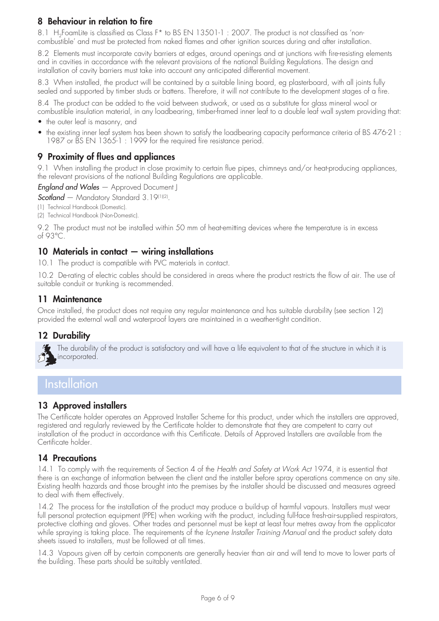### 8 Behaviour in relation to fire

8.1 H<sub>2</sub>FoamLite is classified as Class F<sup>\*</sup> to BS EN 13501-1: 2007. The product is not classified as 'noncombustible' and must be protected from naked flames and other ignition sources during and after installation.

8.2 Elements must incorporate cavity barriers at edges, around openings and at junctions with fire-resisting elements and in cavities in accordance with the relevant provisions of the national Building Regulations. The design and installation of cavity barriers must take into account any anticipated differential movement.

8.3 When installed, the product will be contained by a suitable lining board, eg plasterboard, with all joints fully sealed and supported by timber studs or battens. Therefore, it will not contribute to the development stages of a fire.

8.4 The product can be added to the void between studwork, or used as a substitute for glass mineral wool or combustible insulation material, in any loadbearing, timber-framed inner leaf to a double leaf wall system providing that:

- the outer leaf is masonry, and
- the existing inner leaf system has been shown to satisfy the loadbearing capacity performance criteria of BS 476-21: 1987 or BS EN 1365-1: 1999 for the required fire resistance period.

### 9 Proximity of flues and appliances

9.1 When installing the product in close proximity to certain flue pipes, chimneys and/or heat-producing appliances, the relevant provisions of the national Building Regulations are applicable.

*England and Wales* — Approved Document J

*Scotland* — Mandatory Standard 3.19<sup>(1)(2)</sup>.

(1) Technical Handbook (Domestic).

(2) Technical Handbook (Non-Domestic).

9.2 The product must not be installed within 50 mm of heat-emitting devices where the temperature is in excess of 93°C.

### 10 Materials in contact — wiring installations

10.1 The product is compatible with PVC materials in contact.

10.2 De-rating of electric cables should be considered in areas where the product restricts the flow of air. The use of suitable conduit or trunking is recommended.

### 11 Maintenance

Once installed, the product does not require any regular maintenance and has suitable durability (see section 12) provided the external wall and waterproof layers are maintained in a weather-tight condition.

### 12 Durability

The durability of the product is satisfactory and will have a life equivalent to that of the structure in which it is incorporated.

## **Installation**

### 13 Approved installers

The Certificate holder operates an Approved Installer Scheme for this product, under which the installers are approved, registered and regularly reviewed by the Certificate holder to demonstrate that they are competent to carry out installation of the product in accordance with this Certificate. Details of Approved Installers are available from the Certificate holder.

### 14 Precautions

14.1 To comply with the requirements of Section 4 of the *Health and Safety at Work Act* 1974, it is essential that there is an exchange of information between the client and the installer before spray operations commence on any site. Existing health hazards and those brought into the premises by the installer should be discussed and measures agreed to deal with them effectively.

14.2 The process for the installation of the product may produce a build-up of harmful vapours. Installers must wear full personal protection equipment (PPE) when working with the product, including full-face fresh-air-supplied respirators, protective clothing and gloves. Other trades and personnel must be kept at least four metres away from the applicator while spraying is taking place. The requirements of the *Icynene Installer Training Manual* and the product safety data sheets issued to installers, must be followed at all times.

14.3 Vapours given off by certain components are generally heavier than air and will tend to move to lower parts of the building. These parts should be suitably ventilated.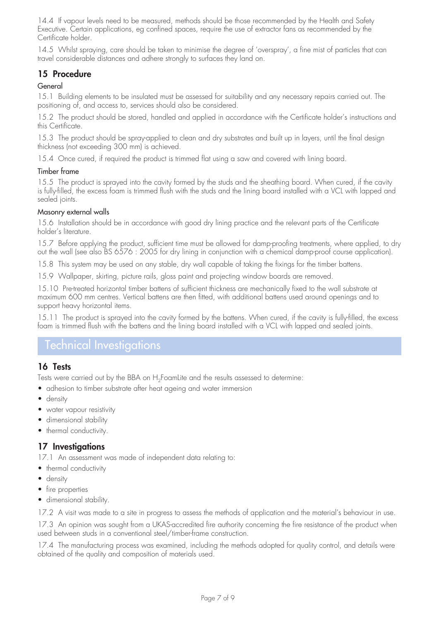14.4 If vapour levels need to be measured, methods should be those recommended by the Health and Safety Executive. Certain applications, eg confined spaces, require the use of extractor fans as recommended by the Certificate holder.

14.5 Whilst spraying, care should be taken to minimise the degree of 'overspray', a fine mist of particles that can travel considerable distances and adhere strongly to surfaces they land on.

### 15 Procedure

### General

15.1 Building elements to be insulated must be assessed for suitability and any necessary repairs carried out. The positioning of, and access to, services should also be considered.

15.2 The product should be stored, handled and applied in accordance with the Certificate holder's instructions and this Certificate.

15.3 The product should be spray-applied to clean and dry substrates and built up in layers, until the final design thickness (not exceeding 300 mm) is achieved.

15.4 Once cured, if required the product is trimmed flat using a saw and covered with lining board.

#### Timber frame

15.5 The product is sprayed into the cavity formed by the studs and the sheathing board. When cured, if the cavity is fully-filled, the excess foam is trimmed flush with the studs and the lining board installed with a VCL with lapped and sealed joints.

#### Masonry external walls

15.6 Installation should be in accordance with good dry lining practice and the relevant parts of the Certificate holder's literature.

15.7 Before applying the product, sufficient time must be allowed for damp-proofing treatments, where applied, to dry out the wall (see also BS 6576 : 2005 for dry lining in conjunction with a chemical damp-proof course application).

15.8 This system may be used on any stable, dry wall capable of taking the fixings for the timber battens.

15.9 Wallpaper, skirting, picture rails, gloss paint and projecting window boards are removed.

15.10 Pre-treated horizontal timber battens of sufficient thickness are mechanically fixed to the wall substrate at maximum 600 mm centres. Vertical battens are then fitted, with additional battens used around openings and to support heavy horizontal items.

15.11 The product is sprayed into the cavity formed by the battens. When cured, if the cavity is fully-filled, the excess foam is trimmed flush with the battens and the lining board installed with a VCL with lapped and sealed joints.

### Technical Investigations

### 16 Tests

Tests were carried out by the BBA on H<sub>2</sub>FoamLite and the results assessed to determine:

- adhesion to timber substrate after heat ageing and water immersion
- density
- water vapour resistivity
- dimensional stability
- thermal conductivity.

### 17 Investigations

17.1 An assessment was made of independent data relating to:

- thermal conductivity
- density
- fire properties
- dimensional stability.

17.2 A visit was made to a site in progress to assess the methods of application and the material's behaviour in use.

17.3 An opinion was sought from a UKAS-accredited fire authority concerning the fire resistance of the product when used between studs in a conventional steel/timber-frame construction.

17.4 The manufacturing process was examined, including the methods adopted for quality control, and details were obtained of the quality and composition of materials used.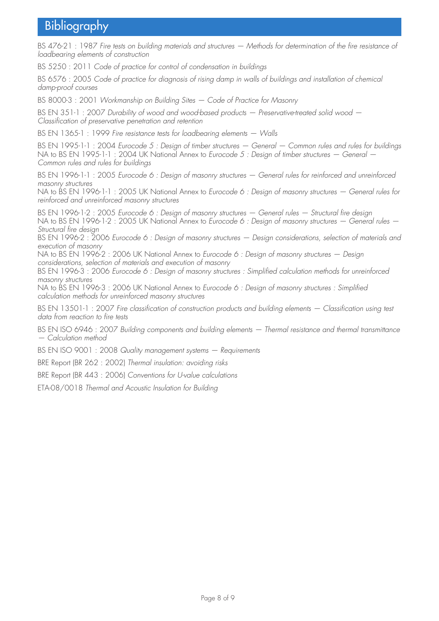## Bibliography

BS 476-21 : 1987 *Fire tests on building materials and structures — Methods for determination of the fire resistance of loadbearing elements of construction*

BS 5250 : 2011 *Code of practice for control of condensation in buildings*

BS 6576 : 2005 *Code of practice for diagnosis of rising damp in walls of buildings and installation of chemical damp-proof courses*

BS 8000-3 : 2001 *Workmanship on Building Sites — Code of Practice for Masonry*

BS EN 351-1 : 2007 *Durability of wood and wood-based products — Preservative-treated solid wood — Classification of preservative penetration and retention*

BS EN 1365-1 : 1999 *Fire resistance tests for loadbearing elements — Walls*

BS EN 1995-1-1 : 2004 *Eurocode 5 : Design of timber structures — General — Common rules and rules for buildings* NA to BS EN 1995-1-1 : 2004 UK National Annex to *Eurocode 5 : Design of timber structures — General — Common rules and rules for buildings*

BS EN 1996-1-1 : 2005 *Eurocode 6 : Design of masonry structures — General rules for reinforced and unreinforced masonry structures*

NA to BS EN 1996-1-1 : 2005 UK National Annex to *Eurocode 6 : Design of masonry structures — General rules for reinforced and unreinforced masonry structures* 

BS EN 1996-1-2 : 2005 *Eurocode 6 : Design of masonry structures — General rules — Structural fire design* NA to BS EN 1996-1-2 : 2005 UK National Annex to *Eurocode 6 : Design of masonry structures — General rules — Structural fire design* 

BS EN 1996-2 : 2006 *Eurocode 6 : Design of masonry structures — Design considerations, selection of materials and execution of masonry*

NA to BS EN 1996-2 : 2006 UK National Annex to *Eurocode 6 : Design of masonry structures — Design considerations, selection of materials and execution of masonry*

BS EN 1996-3 : 2006 *Eurocode 6 : Design of masonry structures : Simplified calculation methods for unreinforced masonry structures*

NA to BS EN 1996-3 : 2006 UK National Annex to *Eurocode 6 : Design of masonry structures : Simplified calculation methods for unreinforced masonry structures*

BS EN 13501-1 : 2007 *Fire classification of construction products and building elements — Classification using test data from reaction to fire tests*

BS EN ISO 6946 : 2007 *Building components and building elements — Thermal resistance and thermal transmittance — Calculation method*

BS EN ISO 9001 : 2008 *Quality management systems — Requirements*

BRE Report (BR 262 : 2002) *Thermal insulation: avoiding risks*

BRE Report (BR 443 : 2006) *Conventions for U-value calculations*

ETA-08/0018 *Thermal and Acoustic Insulation for Building*